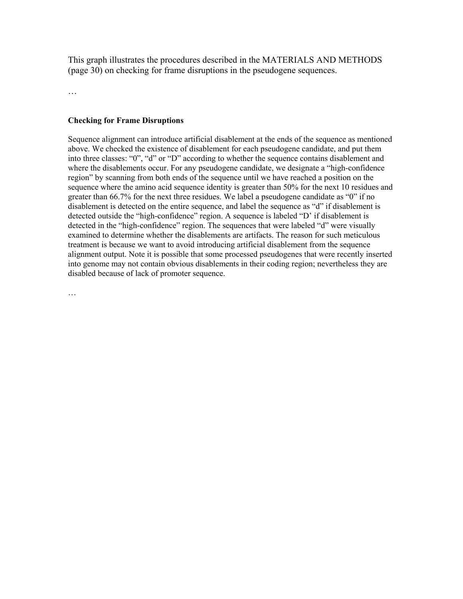This graph illustrates the procedures described in the MATERIALS AND METHODS (page 30) on checking for frame disruptions in the pseudogene sequences.

…

## **Checking for Frame Disruptions**

Sequence alignment can introduce artificial disablement at the ends of the sequence as mentioned above. We checked the existence of disablement for each pseudogene candidate, and put them into three classes: "0", "d" or "D" according to whether the sequence contains disablement and where the disablements occur. For any pseudogene candidate, we designate a "high-confidence region" by scanning from both ends of the sequence until we have reached a position on the sequence where the amino acid sequence identity is greater than 50% for the next 10 residues and greater than 66.7% for the next three residues. We label a pseudogene candidate as "0" if no disablement is detected on the entire sequence, and label the sequence as "d" if disablement is detected outside the "high-confidence" region. A sequence is labeled "D' if disablement is detected in the "high-confidence" region. The sequences that were labeled "d" were visually examined to determine whether the disablements are artifacts. The reason for such meticulous treatment is because we want to avoid introducing artificial disablement from the sequence alignment output. Note it is possible that some processed pseudogenes that were recently inserted into genome may not contain obvious disablements in their coding region; nevertheless they are disabled because of lack of promoter sequence.

…